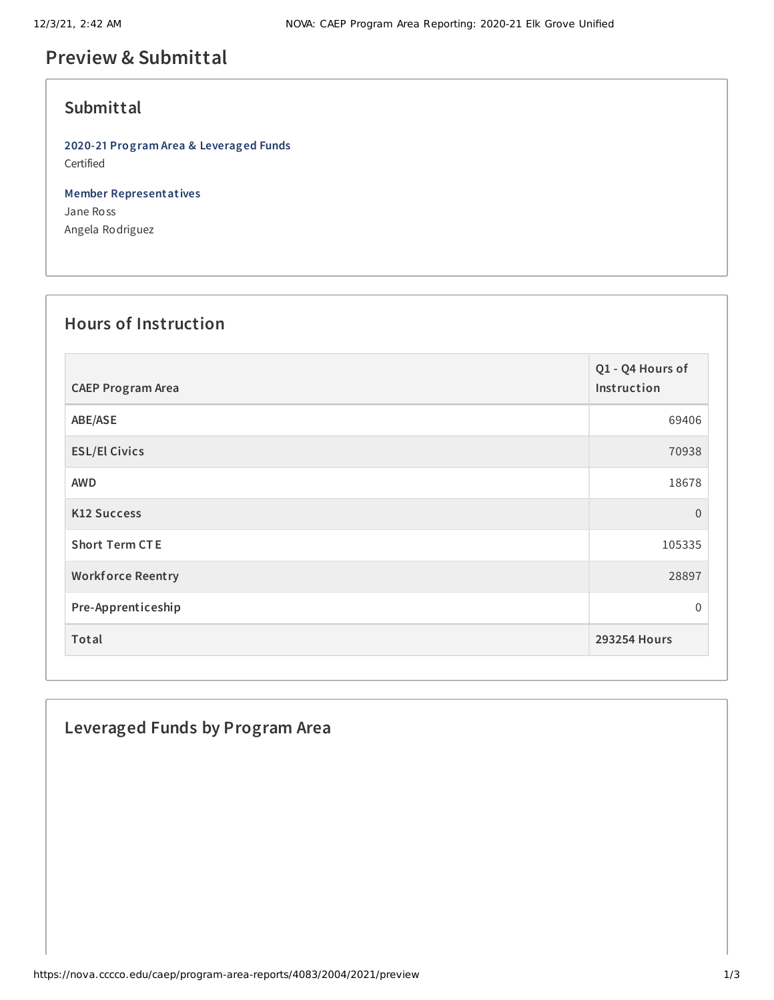## **Preview & Submittal**

### **Submittal**

**2020-21 Program Area & Leveraged Funds** Certified

**Member Representatives** Jane Ross Angela Rodriguez

#### **Hours of Instruction**

| <b>CAEP Program Area</b> | Q1 - Q4 Hours of<br>Instruction |
|--------------------------|---------------------------------|
| ABE/ASE                  | 69406                           |
| <b>ESL/El Civics</b>     | 70938                           |
| <b>AWD</b>               | 18678                           |
| <b>K12 Success</b>       | $\overline{0}$                  |
| <b>Short Term CTE</b>    | 105335                          |
| <b>Workforce Reentry</b> | 28897                           |
| Pre-Apprenticeship       | $\mathbf{0}$                    |
| Total                    | <b>293254 Hours</b>             |

### **Leveraged Funds by Program Area**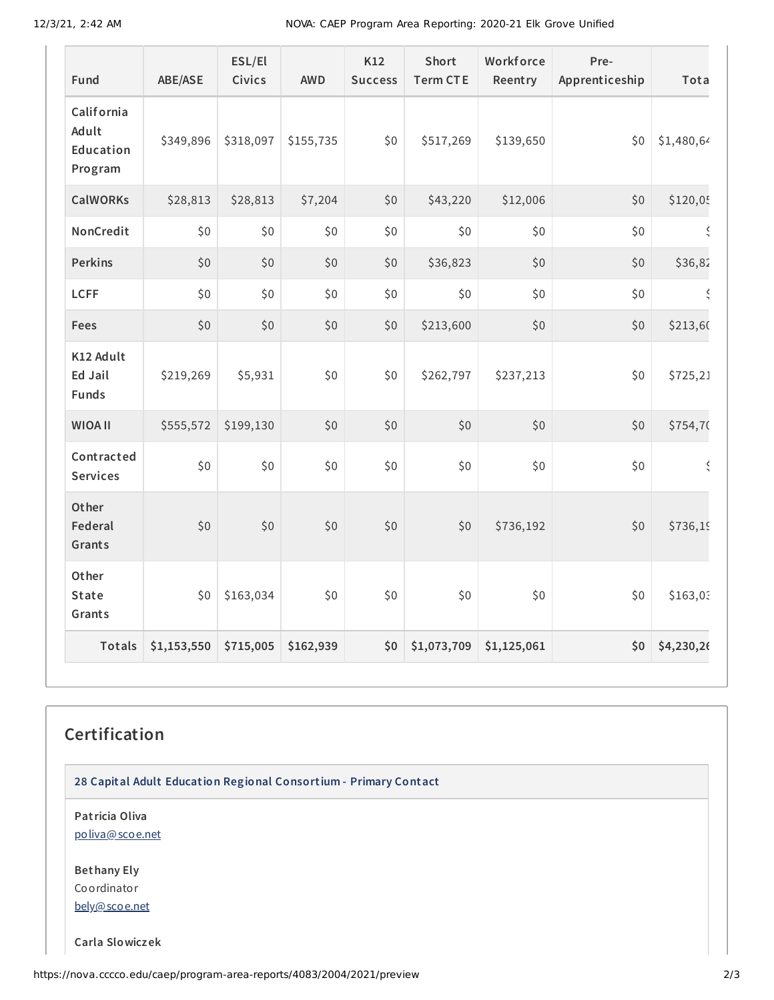12/3/21, 2:42 AM NOVA: CAEP Program Area Reporting: 2020-21 Elk Grove Unified

| Fund                                        | ABE/ASE     | ESL/El<br>Civics | <b>AWD</b> | K12<br><b>Success</b> | Short<br><b>Term CTE</b> | Workforce<br>Reentry | Pre-<br>Apprenticeship | Tota       |
|---------------------------------------------|-------------|------------------|------------|-----------------------|--------------------------|----------------------|------------------------|------------|
| California<br>Adult<br>Education<br>Program | \$349,896   | \$318,097        | \$155,735  | \$0                   | \$517,269                | \$139,650            | \$0                    | \$1,480,64 |
| <b>CalWORKs</b>                             | \$28,813    | \$28,813         | \$7,204    | \$0                   | \$43,220                 | \$12,006             | \$0                    | \$120,05   |
| NonCredit                                   | \$0         | \$0              | \$0        | \$0                   | \$0                      | \$0                  | \$0                    | $\zeta$    |
| <b>Perkins</b>                              | \$0         | \$0              | \$0        | \$0                   | \$36,823                 | \$0                  | \$0                    | \$36,82    |
| <b>LCFF</b>                                 | \$0         | \$0              | \$0        | \$0                   | \$0                      | \$0                  | \$0                    | Š          |
| Fees                                        | \$0         | \$0              | \$0        | \$0                   | \$213,600                | \$0                  | \$0                    | \$213,60   |
| K12 Adult<br>Ed Jail<br><b>Funds</b>        | \$219,269   | \$5,931          | \$0        | \$0                   | \$262,797                | \$237,213            | \$0                    | \$725,21   |
| <b>WIOA II</b>                              | \$555,572   | \$199,130        | \$0        | \$0                   | \$0                      | \$0                  | \$0                    | \$754,70   |
| Contracted<br><b>Services</b>               | \$0         | \$0\$            | \$0        | \$0                   | \$0                      | \$0                  | \$0                    | $\zeta$    |
| Other<br>Federal<br>Grants                  | \$0         | \$0              | \$0        | $$0$$                 | \$0                      | \$736,192            | \$0                    | \$736,19   |
| Other<br><b>State</b><br>Grants             | \$0         | \$163,034        | \$0        | \$0                   | \$0                      | \$0                  | \$0                    | \$163,03   |
| <b>Totals</b>                               | \$1,153,550 | \$715,005        | \$162,939  | \$0                   | \$1,073,709              | \$1,125,061          | \$0                    | \$4,230,26 |

# **Certification**

**28 Capital Adult Education Regional Consortium - Primary Contact**

**Patricia Oliva** [poliva@scoe.net](mailto:poliva@scoe.net)

**Bethany Ely** Coordinator [bely@scoe.net](mailto:bely@scoe.net)

**Carla Slowiczek**